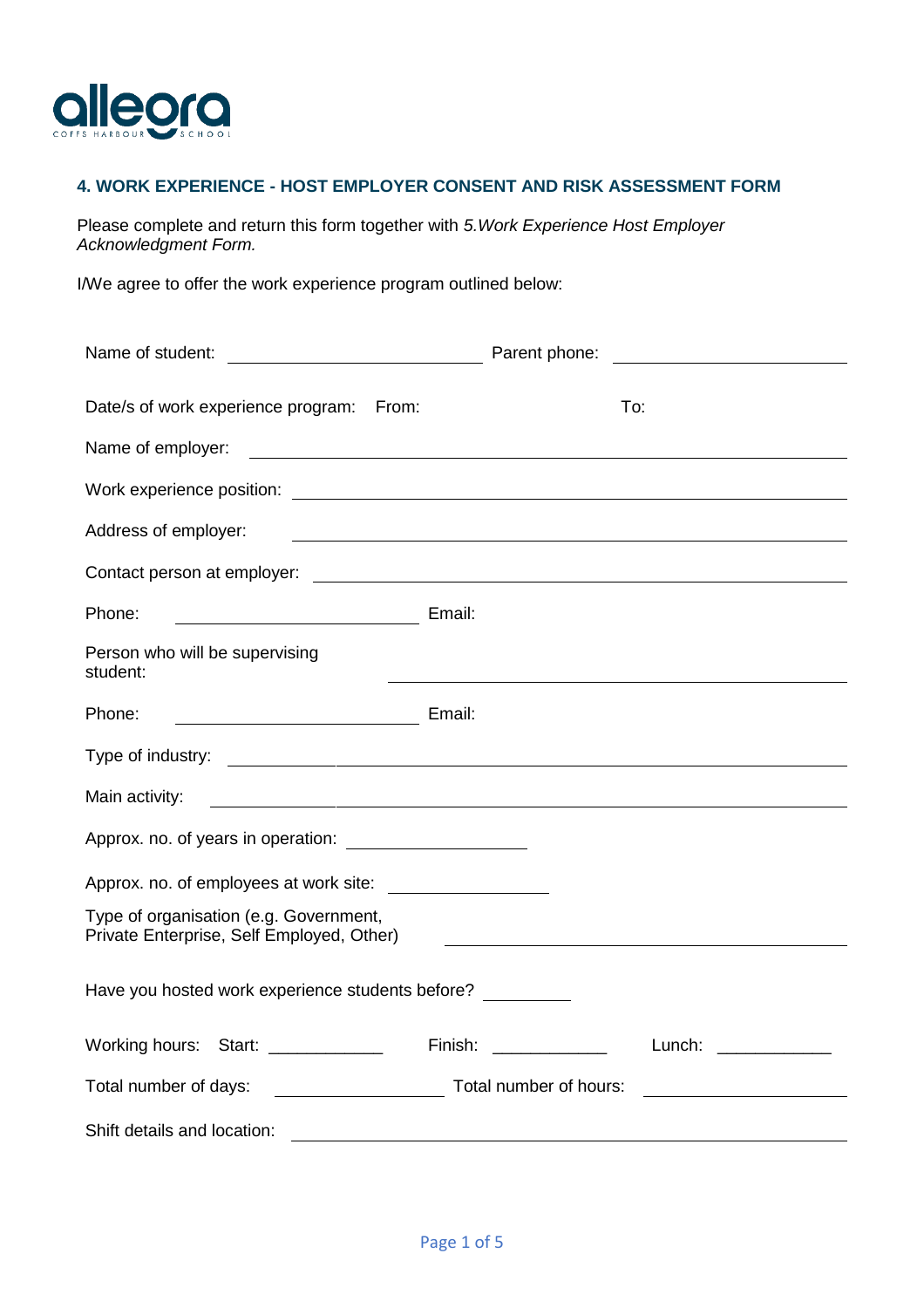

## **4. WORK EXPERIENCE - HOST EMPLOYER CONSENT AND RISK ASSESSMENT FORM**

Please complete and return this form together with *5.Work Experience Host Employer Acknowledgment Form.*

I/We agree to offer the work experience program outlined below:

|                                                                                     | Parent phone:<br><u> 1989 - Andrea State Barbara, política establecente de la propia de la propia de la propia de la propia de la</u> |  |  |  |  |
|-------------------------------------------------------------------------------------|---------------------------------------------------------------------------------------------------------------------------------------|--|--|--|--|
| Date/s of work experience program: From:                                            | To:                                                                                                                                   |  |  |  |  |
| Name of employer:                                                                   |                                                                                                                                       |  |  |  |  |
|                                                                                     |                                                                                                                                       |  |  |  |  |
| Address of employer:                                                                | <u> 1989 - Johann Stoff, deutscher Stoffen und der Stoffen und der Stoffen und der Stoffen und der Stoffen und de</u>                 |  |  |  |  |
|                                                                                     |                                                                                                                                       |  |  |  |  |
| Phone:<br><b>Email:</b> Email:                                                      |                                                                                                                                       |  |  |  |  |
| Person who will be supervising<br>student:                                          |                                                                                                                                       |  |  |  |  |
| <b>Email:</b> Email:<br>Phone:                                                      |                                                                                                                                       |  |  |  |  |
|                                                                                     |                                                                                                                                       |  |  |  |  |
| Main activity:                                                                      |                                                                                                                                       |  |  |  |  |
|                                                                                     |                                                                                                                                       |  |  |  |  |
|                                                                                     |                                                                                                                                       |  |  |  |  |
| Type of organisation (e.g. Government,<br>Private Enterprise, Self Employed, Other) | <u> Alexandria de la contrada de la contrada de la contrada de la contrada de la contrada de la contrada de la c</u>                  |  |  |  |  |
| Have you hosted work experience students before?                                    |                                                                                                                                       |  |  |  |  |
| Working hours: Start: ____________                                                  | $\mathsf{Finish:}\quad\_\_\_\_\_\_\_\_\_\_\_\_\_\_\_\_\_\_\_\_\_\_$<br>Lunch: ______________                                          |  |  |  |  |
| Total number of days:                                                               | Total number of hours:                                                                                                                |  |  |  |  |
| Shift details and location:                                                         |                                                                                                                                       |  |  |  |  |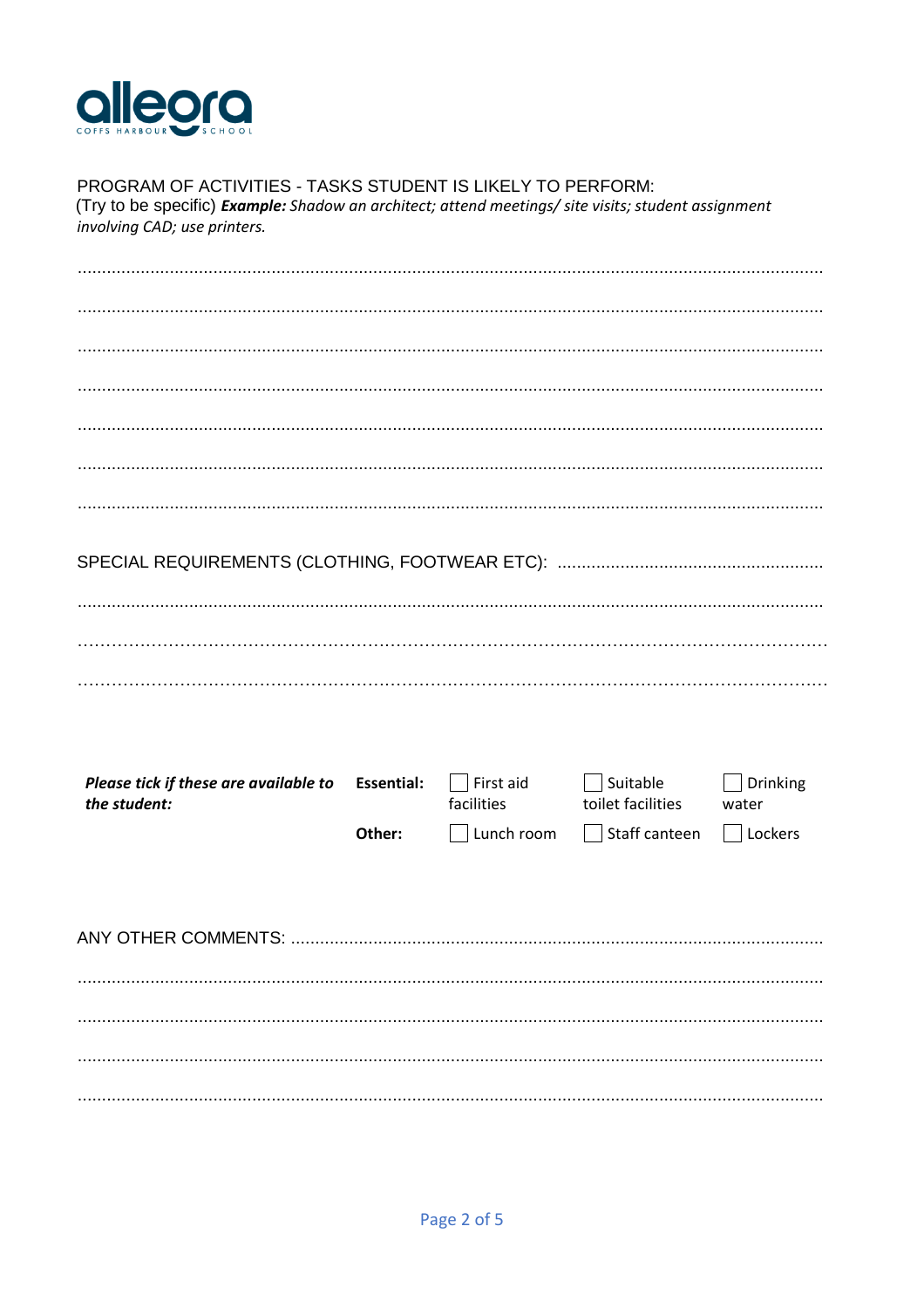

# PROGRAM OF ACTIVITIES - TASKS STUDENT IS LIKELY TO PERFORM:

(Try to be specific) Example: Shadow an architect; attend meetings/ site visits; student assignment involving CAD; use printers.

| Please tick if these are available to Essential:<br>the student: |        | $\Box$ First aid<br>facilities | Suitable<br>toilet facilities | Drinking<br>water |
|------------------------------------------------------------------|--------|--------------------------------|-------------------------------|-------------------|
|                                                                  | Other: | $\Box$ Lunch room              | Staff canteen<br>$\mathbf{L}$ | $\Box$ Lockers    |
|                                                                  |        |                                |                               |                   |
|                                                                  |        |                                |                               |                   |
|                                                                  |        |                                |                               |                   |
|                                                                  |        |                                |                               |                   |
|                                                                  |        |                                |                               |                   |
|                                                                  |        |                                |                               |                   |
|                                                                  |        |                                |                               |                   |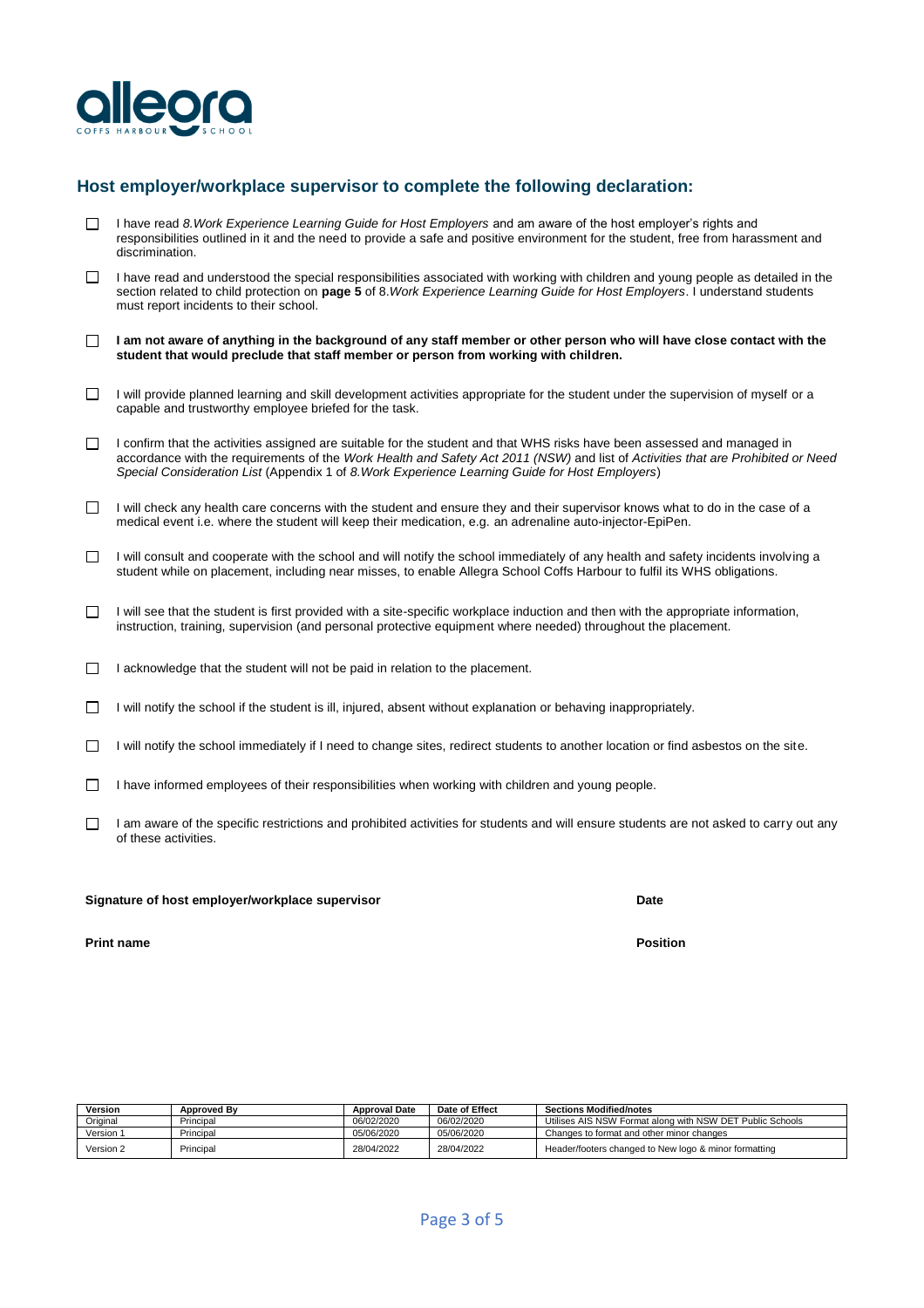

### **Host employer/workplace supervisor to complete the following declaration:**

- П I have read *8.Work Experience Learning Guide for Host Employers* and am aware of the host employer's rights and responsibilities outlined in it and the need to provide a safe and positive environment for the student, free from harassment and discrimination.
- $\Box$  I have read and understood the special responsibilities associated with working with children and young people as detailed in the section related to child protection on **page 5** of 8.*Work Experience Learning Guide for Host Employers*. I understand students must report incidents to their school.
- **I am not aware of anything in the background of any staff member or other person who will have close contact with the student that would preclude that staff member or person from working with children.**
- $\Box$  I will provide planned learning and skill development activities appropriate for the student under the supervision of myself or a capable and trustworthy employee briefed for the task.
- $\Box$  I confirm that the activities assigned are suitable for the student and that WHS risks have been assessed and managed in accordance with the requirements of the *Work Health and Safety Act 2011 (NSW)* and list of *Activities that are Prohibited or Need Special Consideration List* (Appendix 1 of *8.Work Experience Learning Guide for Host Employers*)
- $\Box$  I will check any health care concerns with the student and ensure they and their supervisor knows what to do in the case of a medical event i.e. where the student will keep their medication, e.g. an adrenaline auto-injector-EpiPen.
- $\Box$  I will consult and cooperate with the school and will notify the school immediately of any health and safety incidents involving a student while on placement, including near misses, to enable Allegra School Coffs Harbour to fulfil its WHS obligations.
- I will see that the student is first provided with a site-specific workplace induction and then with the appropriate information, П instruction, training, supervision (and personal protective equipment where needed) throughout the placement.
- $\Box$  I acknowledge that the student will not be paid in relation to the placement.
- I will notify the school if the student is ill, injured, absent without explanation or behaving inappropriately.  $\Box$
- I will notify the school immediately if I need to change sites, redirect students to another location or find asbestos on the site.  $\Box$
- $\Box$  I have informed employees of their responsibilities when working with children and young people.
- I am aware of the specific restrictions and prohibited activities for students and will ensure students are not asked to carry out any  $\Box$ of these activities.

#### **Signature of host employer/workplace supervisor Date**

**Print name Position**

| Version   | <b>Approved By</b> | <b>Approval Date</b> | Date of Effect | <b>Sections Modified/notes</b>                            |  |
|-----------|--------------------|----------------------|----------------|-----------------------------------------------------------|--|
| Original  | Principal          | 06/02/2020           | 06/02/2020     | Utilises AIS NSW Format along with NSW DET Public Schools |  |
| Version 1 | Principal          | 05/06/2020           | 05/06/2020     | Changes to format and other minor changes                 |  |
| Version 2 | Principal          | 28/04/2022           | 28/04/2022     | Header/footers changed to New logo & minor formatting     |  |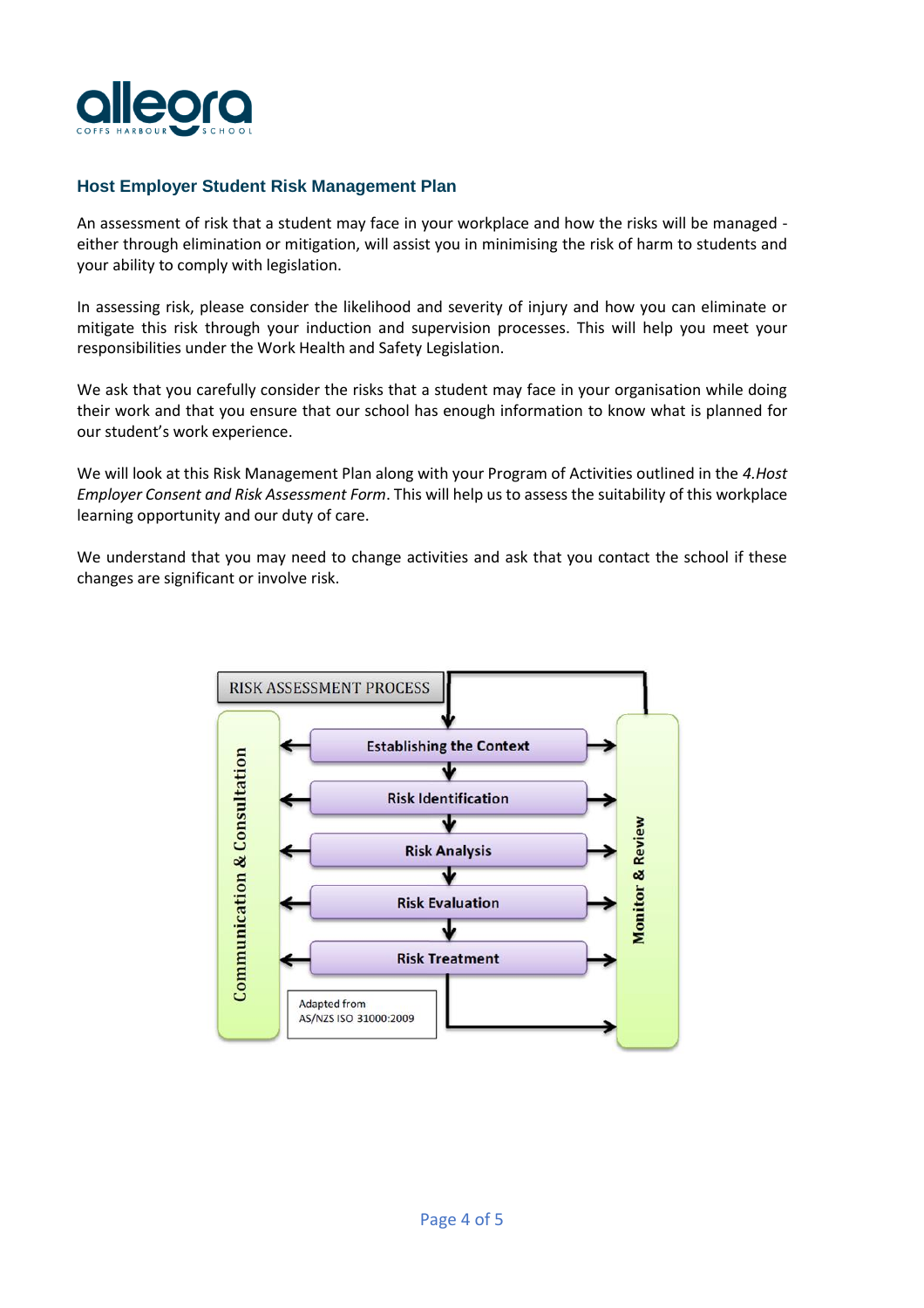

## **Host Employer Student Risk Management Plan**

An assessment of risk that a student may face in your workplace and how the risks will be managed either through elimination or mitigation, will assist you in minimising the risk of harm to students and your ability to comply with legislation.

In assessing risk, please consider the likelihood and severity of injury and how you can eliminate or mitigate this risk through your induction and supervision processes. This will help you meet your responsibilities under the Work Health and Safety Legislation.

We ask that you carefully consider the risks that a student may face in your organisation while doing their work and that you ensure that our school has enough information to know what is planned for our student's work experience.

We will look at this Risk Management Plan along with your Program of Activities outlined in the *4.Host Employer Consent and Risk Assessment Form*. This will help us to assess the suitability of this workplace learning opportunity and our duty of care.

We understand that you may need to change activities and ask that you contact the school if these changes are significant or involve risk.